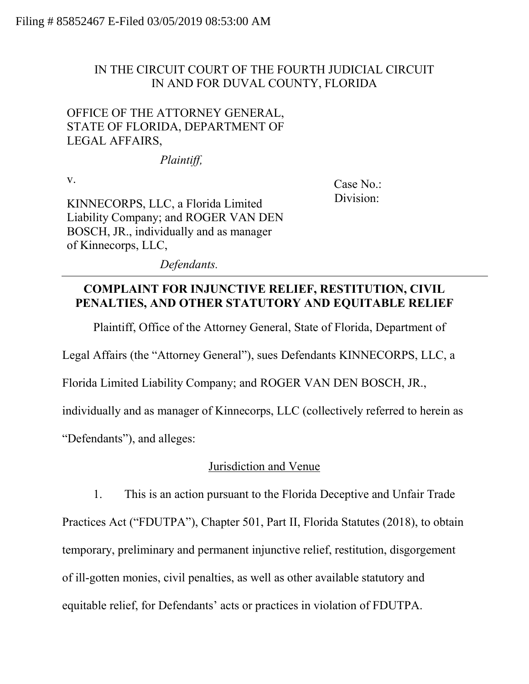## IN THE CIRCUIT COURT OF THE FOURTH JUDICIAL CIRCUIT IN AND FOR DUVAL COUNTY, FLORIDA

## OFFICE OF THE ATTORNEY GENERAL, STATE OF FLORIDA, DEPARTMENT OF LEGAL AFFAIRS,

*Plaintiff,*

v.

Case No.: Division:

KINNECORPS, LLC, a Florida Limited Liability Company; and ROGER VAN DEN BOSCH, JR., individually and as manager of Kinnecorps, LLC,

*Defendants.*

# **COMPLAINT FOR INJUNCTIVE RELIEF, RESTITUTION, CIVIL PENALTIES, AND OTHER STATUTORY AND EQUITABLE RELIEF**

Plaintiff, Office of the Attorney General, State of Florida, Department of

Legal Affairs (the "Attorney General"), sues Defendants KINNECORPS, LLC, a

Florida Limited Liability Company; and ROGER VAN DEN BOSCH, JR.,

individually and as manager of Kinnecorps, LLC (collectively referred to herein as

"Defendants"), and alleges:

## Jurisdiction and Venue

1. This is an action pursuant to the Florida Deceptive and Unfair Trade Practices Act ("FDUTPA"), Chapter 501, Part II, Florida Statutes (2018), to obtain temporary, preliminary and permanent injunctive relief, restitution, disgorgement of ill-gotten monies, civil penalties, as well as other available statutory and equitable relief, for Defendants' acts or practices in violation of FDUTPA.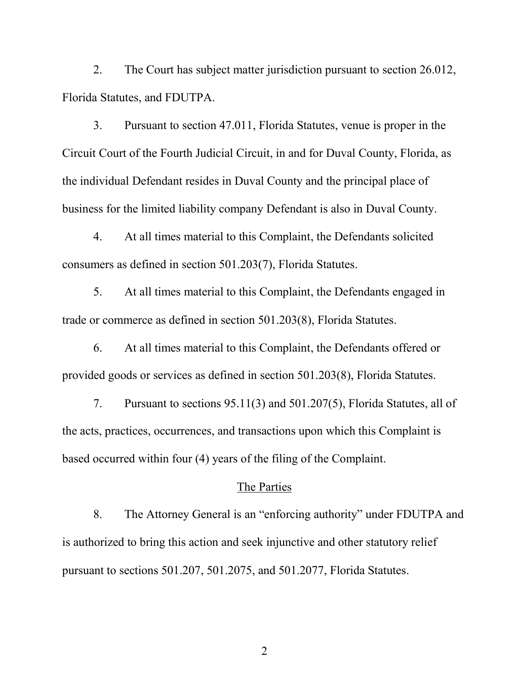2. The Court has subject matter jurisdiction pursuant to section 26.012, Florida Statutes, and FDUTPA.

3. Pursuant to section 47.011, Florida Statutes, venue is proper in the Circuit Court of the Fourth Judicial Circuit, in and for Duval County, Florida, as the individual Defendant resides in Duval County and the principal place of business for the limited liability company Defendant is also in Duval County.

4. At all times material to this Complaint, the Defendants solicited consumers as defined in section 501.203(7), Florida Statutes.

5. At all times material to this Complaint, the Defendants engaged in trade or commerce as defined in section 501.203(8), Florida Statutes.

6. At all times material to this Complaint, the Defendants offered or provided goods or services as defined in section 501.203(8), Florida Statutes.

7. Pursuant to sections 95.11(3) and 501.207(5), Florida Statutes, all of the acts, practices, occurrences, and transactions upon which this Complaint is based occurred within four (4) years of the filing of the Complaint.

#### The Parties

8. The Attorney General is an "enforcing authority" under FDUTPA and is authorized to bring this action and seek injunctive and other statutory relief pursuant to sections 501.207, 501.2075, and 501.2077, Florida Statutes.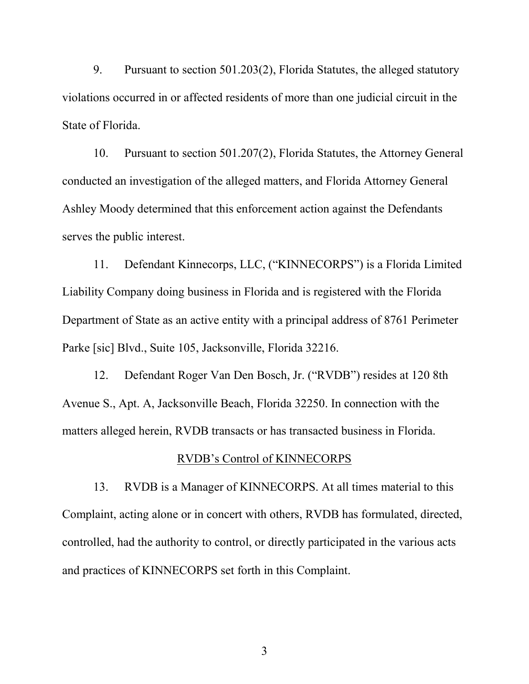9. Pursuant to section 501.203(2), Florida Statutes, the alleged statutory violations occurred in or affected residents of more than one judicial circuit in the State of Florida.

10. Pursuant to section 501.207(2), Florida Statutes, the Attorney General conducted an investigation of the alleged matters, and Florida Attorney General Ashley Moody determined that this enforcement action against the Defendants serves the public interest.

11. Defendant Kinnecorps, LLC, ("KINNECORPS") is a Florida Limited Liability Company doing business in Florida and is registered with the Florida Department of State as an active entity with a principal address of 8761 Perimeter Parke [sic] Blvd., Suite 105, Jacksonville, Florida 32216.

12. Defendant Roger Van Den Bosch, Jr. ("RVDB") resides at 120 8th Avenue S., Apt. A, Jacksonville Beach, Florida 32250. In connection with the matters alleged herein, RVDB transacts or has transacted business in Florida.

### RVDB's Control of KINNECORPS

13. RVDB is a Manager of KINNECORPS. At all times material to this Complaint, acting alone or in concert with others, RVDB has formulated, directed, controlled, had the authority to control, or directly participated in the various acts and practices of KINNECORPS set forth in this Complaint.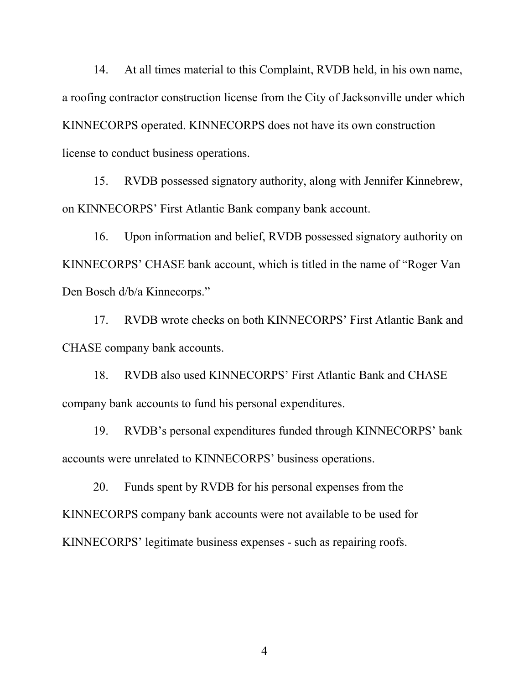14. At all times material to this Complaint, RVDB held, in his own name, a roofing contractor construction license from the City of Jacksonville under which KINNECORPS operated. KINNECORPS does not have its own construction license to conduct business operations.

15. RVDB possessed signatory authority, along with Jennifer Kinnebrew, on KINNECORPS' First Atlantic Bank company bank account.

16. Upon information and belief, RVDB possessed signatory authority on KINNECORPS' CHASE bank account, which is titled in the name of "Roger Van Den Bosch d/b/a Kinnecorps."

17. RVDB wrote checks on both KINNECORPS' First Atlantic Bank and CHASE company bank accounts.

18. RVDB also used KINNECORPS' First Atlantic Bank and CHASE company bank accounts to fund his personal expenditures.

19. RVDB's personal expenditures funded through KINNECORPS' bank accounts were unrelated to KINNECORPS' business operations.

20. Funds spent by RVDB for his personal expenses from the KINNECORPS company bank accounts were not available to be used for KINNECORPS' legitimate business expenses - such as repairing roofs.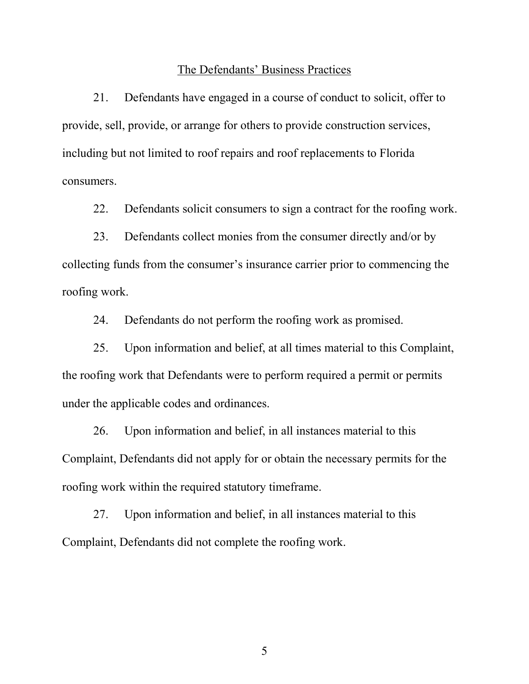### The Defendants' Business Practices

21. Defendants have engaged in a course of conduct to solicit, offer to provide, sell, provide, or arrange for others to provide construction services, including but not limited to roof repairs and roof replacements to Florida consumers.

22. Defendants solicit consumers to sign a contract for the roofing work.

23. Defendants collect monies from the consumer directly and/or by collecting funds from the consumer's insurance carrier prior to commencing the roofing work.

24. Defendants do not perform the roofing work as promised.

25. Upon information and belief, at all times material to this Complaint, the roofing work that Defendants were to perform required a permit or permits under the applicable codes and ordinances.

26. Upon information and belief, in all instances material to this Complaint, Defendants did not apply for or obtain the necessary permits for the roofing work within the required statutory timeframe.

27. Upon information and belief, in all instances material to this Complaint, Defendants did not complete the roofing work.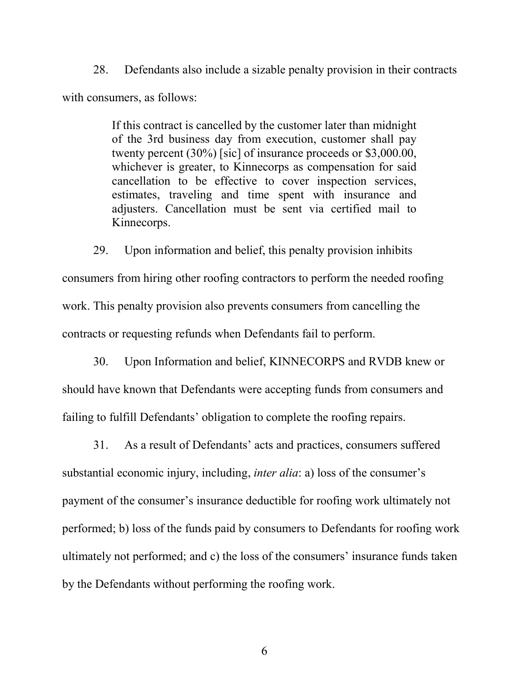28. Defendants also include a sizable penalty provision in their contracts with consumers, as follows:

> If this contract is cancelled by the customer later than midnight of the 3rd business day from execution, customer shall pay twenty percent (30%) [sic] of insurance proceeds or \$3,000.00, whichever is greater, to Kinnecorps as compensation for said cancellation to be effective to cover inspection services, estimates, traveling and time spent with insurance and adjusters. Cancellation must be sent via certified mail to Kinnecorps.

29. Upon information and belief, this penalty provision inhibits consumers from hiring other roofing contractors to perform the needed roofing work. This penalty provision also prevents consumers from cancelling the contracts or requesting refunds when Defendants fail to perform.

30. Upon Information and belief, KINNECORPS and RVDB knew or should have known that Defendants were accepting funds from consumers and failing to fulfill Defendants' obligation to complete the roofing repairs.

31. As a result of Defendants' acts and practices, consumers suffered substantial economic injury, including, *inter alia*: a) loss of the consumer's payment of the consumer's insurance deductible for roofing work ultimately not performed; b) loss of the funds paid by consumers to Defendants for roofing work ultimately not performed; and c) the loss of the consumers' insurance funds taken by the Defendants without performing the roofing work.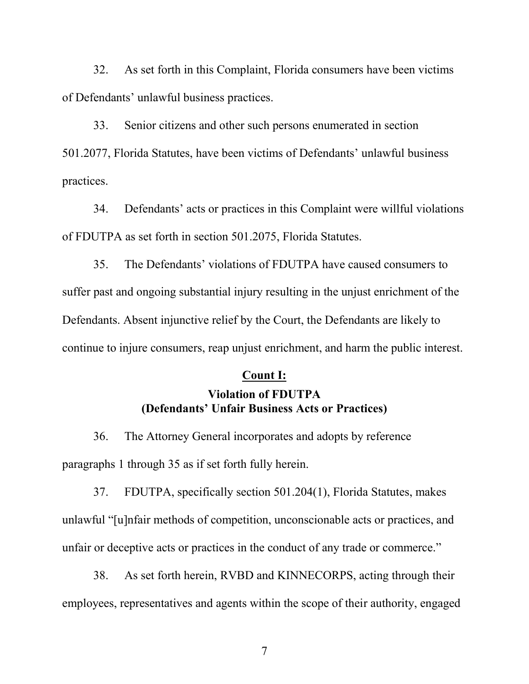32. As set forth in this Complaint, Florida consumers have been victims of Defendants' unlawful business practices.

33. Senior citizens and other such persons enumerated in section 501.2077, Florida Statutes, have been victims of Defendants' unlawful business practices.

34. Defendants' acts or practices in this Complaint were willful violations of FDUTPA as set forth in section 501.2075, Florida Statutes.

35. The Defendants' violations of FDUTPA have caused consumers to suffer past and ongoing substantial injury resulting in the unjust enrichment of the Defendants. Absent injunctive relief by the Court, the Defendants are likely to continue to injure consumers, reap unjust enrichment, and harm the public interest.

#### **Count I:**

## **Violation of FDUTPA (Defendants' Unfair Business Acts or Practices)**

36. The Attorney General incorporates and adopts by reference paragraphs 1 through 35 as if set forth fully herein.

37. FDUTPA, specifically section 501.204(1), Florida Statutes, makes unlawful "[u]nfair methods of competition, unconscionable acts or practices, and unfair or deceptive acts or practices in the conduct of any trade or commerce."

38. As set forth herein, RVBD and KINNECORPS, acting through their employees, representatives and agents within the scope of their authority, engaged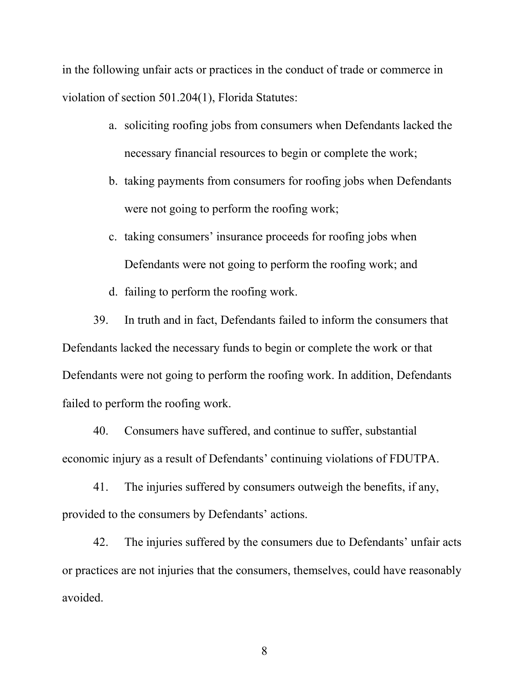in the following unfair acts or practices in the conduct of trade or commerce in violation of section 501.204(1), Florida Statutes:

- a. soliciting roofing jobs from consumers when Defendants lacked the necessary financial resources to begin or complete the work;
- b. taking payments from consumers for roofing jobs when Defendants were not going to perform the roofing work;
- c. taking consumers' insurance proceeds for roofing jobs when Defendants were not going to perform the roofing work; and
- d. failing to perform the roofing work.

39. In truth and in fact, Defendants failed to inform the consumers that Defendants lacked the necessary funds to begin or complete the work or that Defendants were not going to perform the roofing work. In addition, Defendants failed to perform the roofing work.

40. Consumers have suffered, and continue to suffer, substantial economic injury as a result of Defendants' continuing violations of FDUTPA.

41. The injuries suffered by consumers outweigh the benefits, if any, provided to the consumers by Defendants' actions.

42. The injuries suffered by the consumers due to Defendants' unfair acts or practices are not injuries that the consumers, themselves, could have reasonably avoided.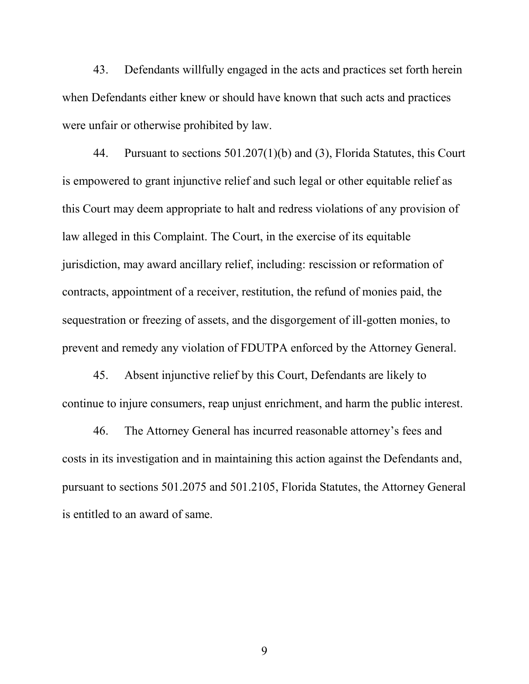43. Defendants willfully engaged in the acts and practices set forth herein when Defendants either knew or should have known that such acts and practices were unfair or otherwise prohibited by law.

44. Pursuant to sections 501.207(1)(b) and (3), Florida Statutes, this Court is empowered to grant injunctive relief and such legal or other equitable relief as this Court may deem appropriate to halt and redress violations of any provision of law alleged in this Complaint. The Court, in the exercise of its equitable jurisdiction, may award ancillary relief, including: rescission or reformation of contracts, appointment of a receiver, restitution, the refund of monies paid, the sequestration or freezing of assets, and the disgorgement of ill-gotten monies, to prevent and remedy any violation of FDUTPA enforced by the Attorney General.

45. Absent injunctive relief by this Court, Defendants are likely to continue to injure consumers, reap unjust enrichment, and harm the public interest.

46. The Attorney General has incurred reasonable attorney's fees and costs in its investigation and in maintaining this action against the Defendants and, pursuant to sections 501.2075 and 501.2105, Florida Statutes, the Attorney General is entitled to an award of same.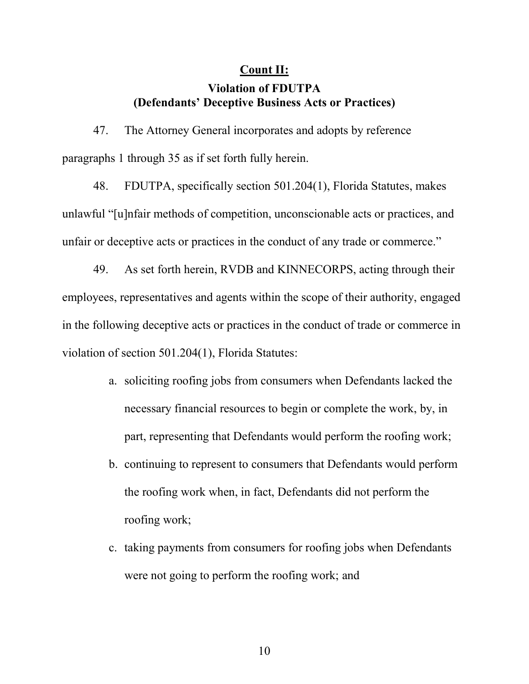### **Count II:**

### **Violation of FDUTPA (Defendants' Deceptive Business Acts or Practices)**

47. The Attorney General incorporates and adopts by reference paragraphs 1 through 35 as if set forth fully herein.

48. FDUTPA, specifically section 501.204(1), Florida Statutes, makes unlawful "[u]nfair methods of competition, unconscionable acts or practices, and unfair or deceptive acts or practices in the conduct of any trade or commerce."

49. As set forth herein, RVDB and KINNECORPS, acting through their employees, representatives and agents within the scope of their authority, engaged in the following deceptive acts or practices in the conduct of trade or commerce in violation of section 501.204(1), Florida Statutes:

- a. soliciting roofing jobs from consumers when Defendants lacked the necessary financial resources to begin or complete the work, by, in part, representing that Defendants would perform the roofing work;
- b. continuing to represent to consumers that Defendants would perform the roofing work when, in fact, Defendants did not perform the roofing work;
- c. taking payments from consumers for roofing jobs when Defendants were not going to perform the roofing work; and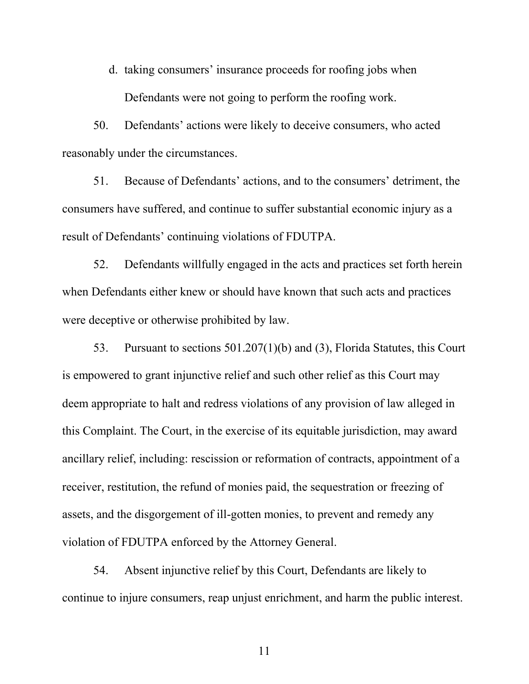d. taking consumers' insurance proceeds for roofing jobs when Defendants were not going to perform the roofing work.

50. Defendants' actions were likely to deceive consumers, who acted reasonably under the circumstances.

51. Because of Defendants' actions, and to the consumers' detriment, the consumers have suffered, and continue to suffer substantial economic injury as a result of Defendants' continuing violations of FDUTPA.

52. Defendants willfully engaged in the acts and practices set forth herein when Defendants either knew or should have known that such acts and practices were deceptive or otherwise prohibited by law.

53. Pursuant to sections 501.207(1)(b) and (3), Florida Statutes, this Court is empowered to grant injunctive relief and such other relief as this Court may deem appropriate to halt and redress violations of any provision of law alleged in this Complaint. The Court, in the exercise of its equitable jurisdiction, may award ancillary relief, including: rescission or reformation of contracts, appointment of a receiver, restitution, the refund of monies paid, the sequestration or freezing of assets, and the disgorgement of ill-gotten monies, to prevent and remedy any violation of FDUTPA enforced by the Attorney General.

54. Absent injunctive relief by this Court, Defendants are likely to continue to injure consumers, reap unjust enrichment, and harm the public interest.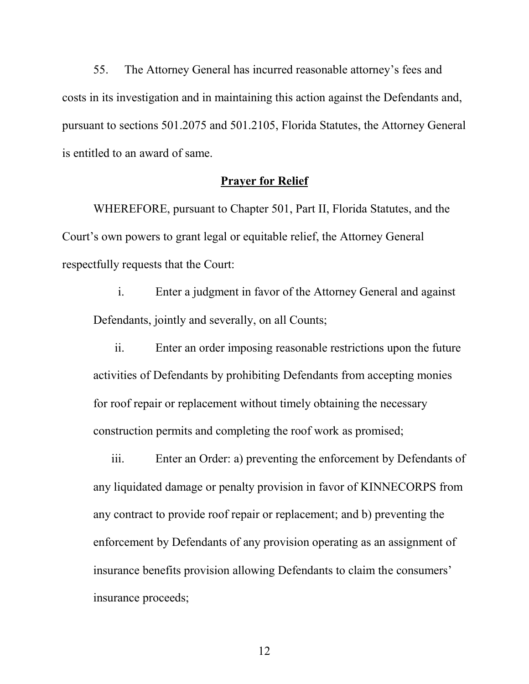55. The Attorney General has incurred reasonable attorney's fees and costs in its investigation and in maintaining this action against the Defendants and, pursuant to sections 501.2075 and 501.2105, Florida Statutes, the Attorney General is entitled to an award of same.

#### **Prayer for Relief**

WHEREFORE, pursuant to Chapter 501, Part II, Florida Statutes, and the Court's own powers to grant legal or equitable relief, the Attorney General respectfully requests that the Court:

i. Enter a judgment in favor of the Attorney General and against Defendants, jointly and severally, on all Counts;

ii. Enter an order imposing reasonable restrictions upon the future activities of Defendants by prohibiting Defendants from accepting monies for roof repair or replacement without timely obtaining the necessary construction permits and completing the roof work as promised;

iii. Enter an Order: a) preventing the enforcement by Defendants of any liquidated damage or penalty provision in favor of KINNECORPS from any contract to provide roof repair or replacement; and b) preventing the enforcement by Defendants of any provision operating as an assignment of insurance benefits provision allowing Defendants to claim the consumers' insurance proceeds;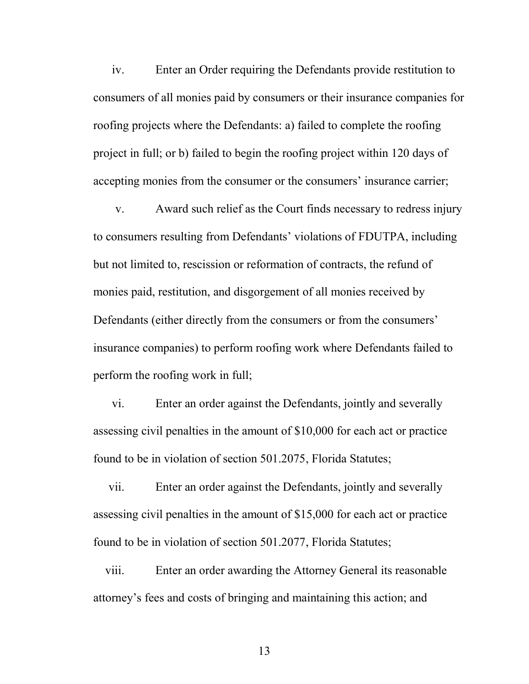iv. Enter an Order requiring the Defendants provide restitution to consumers of all monies paid by consumers or their insurance companies for roofing projects where the Defendants: a) failed to complete the roofing project in full; or b) failed to begin the roofing project within 120 days of accepting monies from the consumer or the consumers' insurance carrier;

v. Award such relief as the Court finds necessary to redress injury to consumers resulting from Defendants' violations of FDUTPA, including but not limited to, rescission or reformation of contracts, the refund of monies paid, restitution, and disgorgement of all monies received by Defendants (either directly from the consumers or from the consumers' insurance companies) to perform roofing work where Defendants failed to perform the roofing work in full;

vi. Enter an order against the Defendants, jointly and severally assessing civil penalties in the amount of \$10,000 for each act or practice found to be in violation of section 501.2075, Florida Statutes;

vii. Enter an order against the Defendants, jointly and severally assessing civil penalties in the amount of \$15,000 for each act or practice found to be in violation of section 501.2077, Florida Statutes;

viii. Enter an order awarding the Attorney General its reasonable attorney's fees and costs of bringing and maintaining this action; and